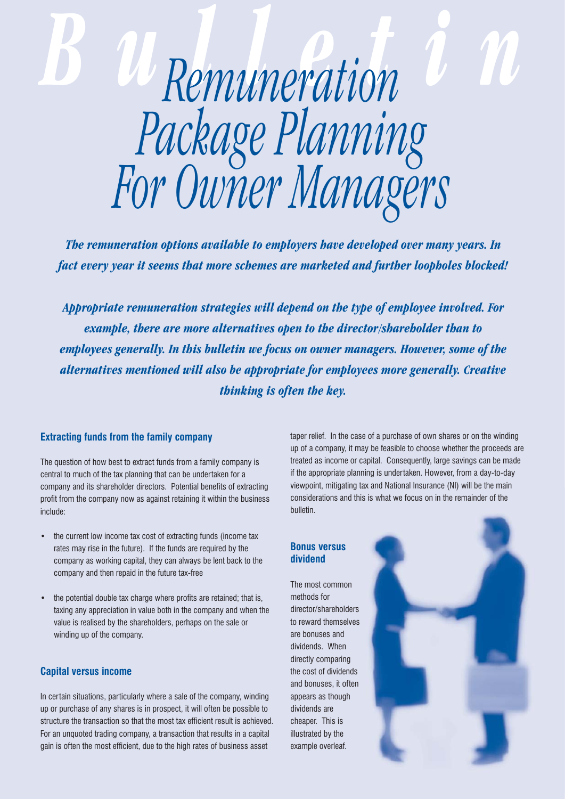# *Bulletin Remuneration Package Planning For Owner Managers*

*The remuneration options available to employers have developed over many years. In fact every year it seems that more schemes are marketed and further loopholes blocked!*

*Appropriate remuneration strategies will depend on the type of employee involved. For example, there are more alternatives open to the director/shareholder than to employees generally. In this bulletin we focus on owner managers. However, some of the alternatives mentioned will also be appropriate for employees more generally. Creative thinking is often the key.*

# **Extracting funds from the family company**

The question of how best to extract funds from a family company is central to much of the tax planning that can be undertaken for a company and its shareholder directors. Potential benefits of extracting profit from the company now as against retaining it within the business include:

- the current low income tax cost of extracting funds (income tax rates may rise in the future). If the funds are required by the company as working capital, they can always be lent back to the company and then repaid in the future tax-free
- the potential double tax charge where profits are retained; that is, taxing any appreciation in value both in the company and when the value is realised by the shareholders, perhaps on the sale or winding up of the company.

# **Capital versus income**

In certain situations, particularly where a sale of the company, winding up or purchase of any shares is in prospect, it will often be possible to structure the transaction so that the most tax efficient result is achieved. For an unquoted trading company, a transaction that results in a capital gain is often the most efficient, due to the high rates of business asset

taper relief. In the case of a purchase of own shares or on the winding up of a company, it may be feasible to choose whether the proceeds are treated as income or capital. Consequently, large savings can be made if the appropriate planning is undertaken. However, from a day-to-day viewpoint, mitigating tax and National Insurance (NI) will be the main considerations and this is what we focus on in the remainder of the bulletin.

# **Bonus versus dividend**

The most common methods for director/shareholders to reward themselves are bonuses and dividends. When directly comparing the cost of dividends and bonuses, it often appears as though dividends are cheaper. This is illustrated by the example overleaf.

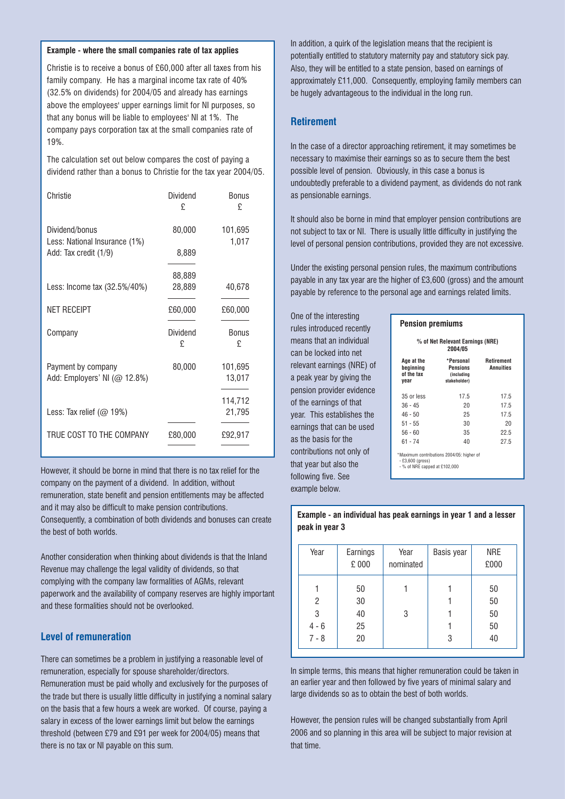#### **Example - where the small companies rate of tax applies**

Christie is to receive a bonus of £60,000 after all taxes from his Christie is to receive a bonus of £60,000 after all taxes from his family company. He has a marginal income tax rate of 40% (32.5% family company. He has a marginal income tax rate of 40%  $(32.5%$  on dividends) for 2004/05 and already has earnings (32.5% on dividends) for 2004/05 and already has earnings<br>above the employees' upper earnings limit for NI purposes, so that any bonus will be liable to employees' NI at 1%. The company pays corporation tax at the small companies rate of  $T_{\rm tot}$  set out below compared the cost of paying and paying all  $\sigma$ 19%.

The calculation set out below compares the cost of paying a dividend rather than a bonus to Christie for the tax year 2004/05.

| Christie                                        | Dividend<br>£ | <b>Bonus</b><br>£ |
|-------------------------------------------------|---------------|-------------------|
| Dividend/bonus<br>Less: National Insurance (1%) | 80,000        | 101,695<br>1,017  |
| Add: Tax credit (1/9)                           | 8,889         |                   |
|                                                 | 88,889        |                   |
| Less: Income tax (32.5%/40%)                    | 28,889        | 40,678            |
| <b>NET RECEIPT</b>                              | £60,000       | £60,000           |
| Company                                         | Dividend<br>£ | Bonus<br>£        |
|                                                 |               |                   |
| Payment by company                              | 80,000        | 101,695           |
| Add: Employers' NI $(\oslash 12.8\%)$           |               | 13,017            |
|                                                 |               | 114,712           |
| Less: Tax relief $(\oslash 19\%)$               |               | 21,795            |
| TRUE COST TO THE COMPANY                        | £80,000       | £92,917           |
|                                                 |               |                   |

However, it should be borne in mind that there is no tax relief for the company on the payment of a dividend. In addition, without remuneration, state benefit and pension entitlements may be affected and it may also be difficult to make pension contributions. Consequently, a combination of both dividends and bonuses can create the best of both worlds.

Another consideration when thinking about dividends is that the Inland Revenue may challenge the legal validity of dividends, so that complying with the company law formalities of AGMs, relevant paperwork and the availability of company reserves are highly important and these formalities should not be overlooked.

## **Level of remuneration**

There can sometimes be a problem in justifying a reasonable level of remuneration, especially for spouse shareholder/directors. Remuneration must be paid wholly and exclusively for the purposes of the trade but there is usually little difficulty in justifying a nominal salary on the basis that a few hours a week are worked. Of course, paying a salary in excess of the lower earnings limit but below the earnings threshold (between £79 and £91 per week for 2004/05) means that there is no tax or NI payable on this sum.

In addition, a quirk of the legislation means that the recipient is potentially entitled to statutory maternity pay and statutory sick pay. Also, they will be entitled to a state pension, based on earnings of approximately £11,000. Consequently, employing family members can be hugely advantageous to the individual in the long run.

# **Retirement**

In the case of a director approaching retirement, it may sometimes be necessary to maximise their earnings so as to secure them the best possible level of pension. Obviously, in this case a bonus is undoubtedly preferable to a dividend payment, as dividends do not rank as pensionable earnings.

It should also be borne in mind that employer pension contributions are not subject to tax or NI. There is usually little difficulty in justifying the level of personal pension contributions, provided they are not excessive.

Under the existing personal pension rules, the maximum contributions payable in any tax year are the higher of £3,600 (gross) and the amount payable by reference to the personal age and earnings related limits.

One of the interesting rules introduced recently means that an individual can be locked into net relevant earnings (NRE) of a peak year by giving the pension provider evidence of the earnings of that year. This establishes the earnings that can be used as the basis for the contributions not only of that year but also the following five. See example below.

| <b>Pension premiums</b> |
|-------------------------|
|                         |
|                         |

| % of Net Relevant Earnings (NRE)<br>2004/05         |                                                            |                                       |  |  |
|-----------------------------------------------------|------------------------------------------------------------|---------------------------------------|--|--|
| Age at the<br>beainnina<br>of the tax<br>year       | *Personal<br><b>Pensions</b><br>(including<br>stakeholder) | <b>Retirement</b><br><b>Annuities</b> |  |  |
| 35 or less                                          | 17.5                                                       | 17.5                                  |  |  |
| $36 - 45$                                           | 20                                                         | 17.5                                  |  |  |
| $46 - 50$                                           | 25                                                         | 17.5                                  |  |  |
| $51 - 55$                                           | 30                                                         | 20                                    |  |  |
| $56 - 60$                                           | 35                                                         | 22.5                                  |  |  |
| 61 - 74                                             | 40                                                         | 27.5                                  |  |  |
| $-$ £3,600 (gross)<br>- % of NRE capped at £102,000 | *Maximum contributions 2004/05: higher of                  |                                       |  |  |

## **Example - an individual has peak earnings in year 1 and a lesser peak in year 3**

| Year         | Earnings<br>£ 000 | Year<br>nominated | Basis year | <b>NRE</b><br>£000 |
|--------------|-------------------|-------------------|------------|--------------------|
|              | 50                |                   |            | 50                 |
| 2            | 30                |                   |            | 50                 |
| 3<br>$4 - 6$ | 40<br>25          | 3                 |            | 50<br>50           |
| $7 - 8$      | 20                |                   | 3          | 40                 |

In simple terms, this means that higher remuneration could be taken in an earlier year and then followed by five years of minimal salary and large dividends so as to obtain the best of both worlds.

However, the pension rules will be changed substantially from April 2006 and so planning in this area will be subject to major revision at that time.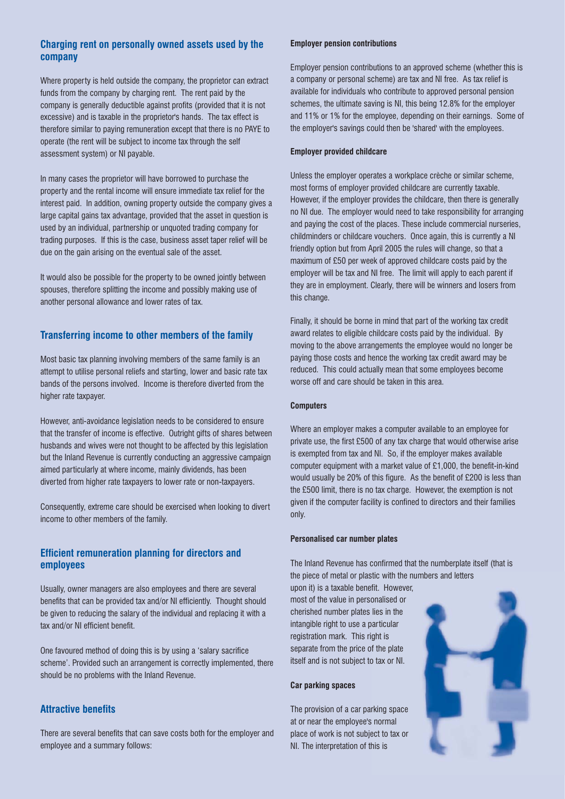# **Charging rent on personally owned assets used by the company**

Where property is held outside the company, the proprietor can extract funds from the company by charging rent. The rent paid by the company is generally deductible against profits (provided that it is not excessive) and is taxable in the proprietor's hands. The tax effect is therefore similar to paying remuneration except that there is no PAYE to operate (the rent will be subject to income tax through the self assessment system) or NI payable.

In many cases the proprietor will have borrowed to purchase the property and the rental income will ensure immediate tax relief for the interest paid. In addition, owning property outside the company gives a large capital gains tax advantage, provided that the asset in question is used by an individual, partnership or unquoted trading company for trading purposes. If this is the case, business asset taper relief will be due on the gain arising on the eventual sale of the asset.

It would also be possible for the property to be owned jointly between spouses, therefore splitting the income and possibly making use of another personal allowance and lower rates of tax.

## **Transferring income to other members of the family**

Most basic tax planning involving members of the same family is an attempt to utilise personal reliefs and starting, lower and basic rate tax bands of the persons involved. Income is therefore diverted from the higher rate taxpayer.

However, anti-avoidance legislation needs to be considered to ensure that the transfer of income is effective. Outright gifts of shares between husbands and wives were not thought to be affected by this legislation but the Inland Revenue is currently conducting an aggressive campaign aimed particularly at where income, mainly dividends, has been diverted from higher rate taxpayers to lower rate or non-taxpayers.

Consequently, extreme care should be exercised when looking to divert income to other members of the family.

# **Efficient remuneration planning for directors and employees**

Usually, owner managers are also employees and there are several benefits that can be provided tax and/or NI efficiently. Thought should be given to reducing the salary of the individual and replacing it with a tax and/or NI efficient benefit.

One favoured method of doing this is by using a 'salary sacrifice scheme'. Provided such an arrangement is correctly implemented, there should be no problems with the Inland Revenue.

# **Attractive benefits**

There are several benefits that can save costs both for the employer and employee and a summary follows:

#### **Employer pension contributions**

Employer pension contributions to an approved scheme (whether this is a company or personal scheme) are tax and NI free. As tax relief is available for individuals who contribute to approved personal pension schemes, the ultimate saving is NI, this being 12.8% for the employer and 11% or 1% for the employee, depending on their earnings. Some of the employer's savings could then be 'shared' with the employees.

#### **Employer provided childcare**

Unless the employer operates a workplace crèche or similar scheme, most forms of employer provided childcare are currently taxable. However, if the employer provides the childcare, then there is generally no NI due. The employer would need to take responsibility for arranging and paying the cost of the places. These include commercial nurseries, childminders or childcare vouchers. Once again, this is currently a NI friendly option but from April 2005 the rules will change, so that a maximum of £50 per week of approved childcare costs paid by the employer will be tax and NI free. The limit will apply to each parent if they are in employment. Clearly, there will be winners and losers from this change.

Finally, it should be borne in mind that part of the working tax credit award relates to eligible childcare costs paid by the individual. By moving to the above arrangements the employee would no longer be paying those costs and hence the working tax credit award may be reduced. This could actually mean that some employees become worse off and care should be taken in this area.

#### **Computers**

Where an employer makes a computer available to an employee for private use, the first £500 of any tax charge that would otherwise arise is exempted from tax and NI. So, if the employer makes available computer equipment with a market value of £1,000, the benefit-in-kind would usually be 20% of this figure. As the benefit of £200 is less than the £500 limit, there is no tax charge. However, the exemption is not given if the computer facility is confined to directors and their families only.

#### **Personalised car number plates**

The Inland Revenue has confirmed that the numberplate itself (that is the piece of metal or plastic with the numbers and letters

upon it) is a taxable benefit. However, most of the value in personalised or cherished number plates lies in the intangible right to use a particular registration mark. This right is separate from the price of the plate itself and is not subject to tax or NI.

#### **Car parking spaces**

The provision of a car parking space at or near the employee's normal place of work is not subject to tax or NI. The interpretation of this is